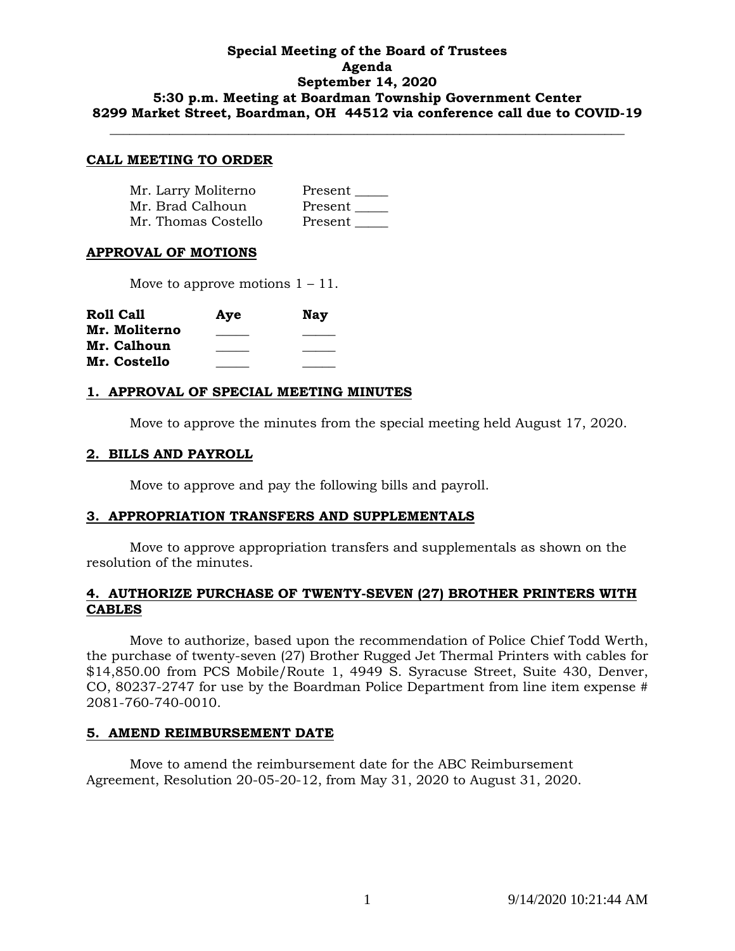### **Special Meeting of the Board of Trustees Agenda September 14, 2020 5:30 p.m. Meeting at Boardman Township Government Center 8299 Market Street, Boardman, OH 44512 via conference call due to COVID-19**

**\_\_\_\_\_\_\_\_\_\_\_\_\_\_\_\_\_\_\_\_\_\_\_\_\_\_\_\_\_\_\_\_\_\_\_\_\_\_\_\_\_\_\_\_\_\_\_\_\_\_\_\_\_\_\_\_\_\_\_\_\_\_\_\_\_\_\_\_\_\_\_\_\_\_\_\_\_\_**

#### **CALL MEETING TO ORDER**

| Mr. Larry Moliterno | Present |
|---------------------|---------|
| Mr. Brad Calhoun    | Present |
| Mr. Thomas Costello | Present |

### **APPROVAL OF MOTIONS**

Move to approve motions  $1 - 11$ .

| <b>Roll Call</b> | Aye | <b>Nav</b> |
|------------------|-----|------------|
| Mr. Moliterno    |     |            |
| Mr. Calhoun      |     |            |
| Mr. Costello     |     |            |

# **1. APPROVAL OF SPECIAL MEETING MINUTES**

Move to approve the minutes from the special meeting held August 17, 2020.

#### **2. BILLS AND PAYROLL**

Move to approve and pay the following bills and payroll.

# **3. APPROPRIATION TRANSFERS AND SUPPLEMENTALS**

Move to approve appropriation transfers and supplementals as shown on the resolution of the minutes.

# **4. AUTHORIZE PURCHASE OF TWENTY-SEVEN (27) BROTHER PRINTERS WITH CABLES**

Move to authorize, based upon the recommendation of Police Chief Todd Werth, the purchase of twenty-seven (27) Brother Rugged Jet Thermal Printers with cables for \$14,850.00 from PCS Mobile/Route 1, 4949 S. Syracuse Street, Suite 430, Denver, CO, 80237-2747 for use by the Boardman Police Department from line item expense # 2081-760-740-0010.

#### **5. AMEND REIMBURSEMENT DATE**

Move to amend the reimbursement date for the ABC Reimbursement Agreement, Resolution 20-05-20-12, from May 31, 2020 to August 31, 2020.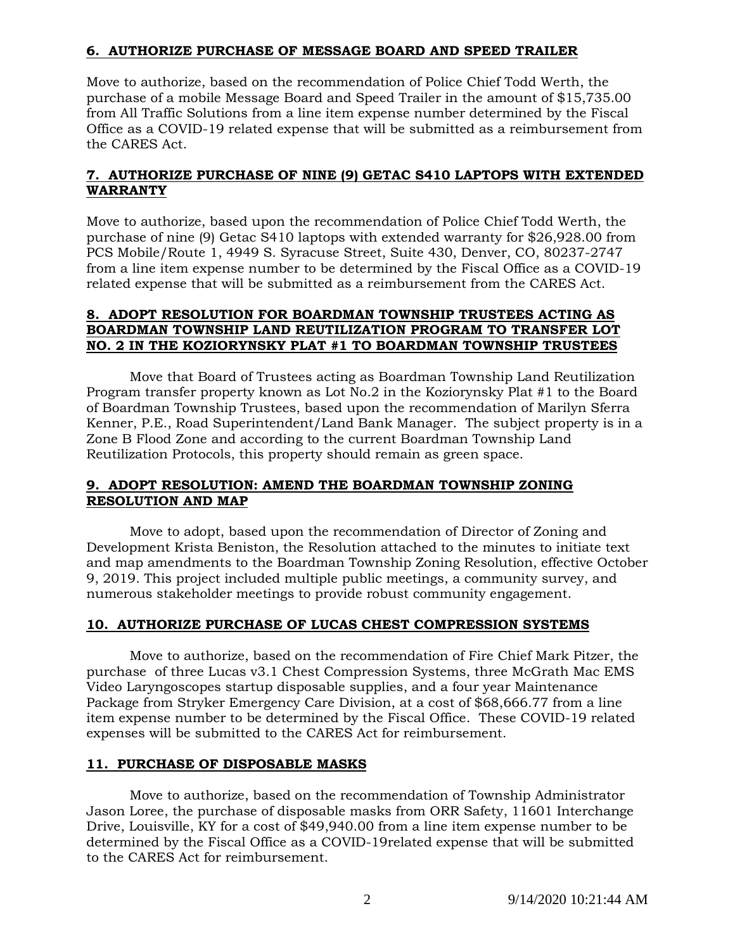# **6. AUTHORIZE PURCHASE OF MESSAGE BOARD AND SPEED TRAILER**

Move to authorize, based on the recommendation of Police Chief Todd Werth, the purchase of a mobile Message Board and Speed Trailer in the amount of \$15,735.00 from All Traffic Solutions from a line item expense number determined by the Fiscal Office as a COVID-19 related expense that will be submitted as a reimbursement from the CARES Act.

# **7. AUTHORIZE PURCHASE OF NINE (9) GETAC S410 LAPTOPS WITH EXTENDED WARRANTY**

Move to authorize, based upon the recommendation of Police Chief Todd Werth, the purchase of nine (9) Getac S410 laptops with extended warranty for \$26,928.00 from PCS Mobile/Route 1, 4949 S. Syracuse Street, Suite 430, Denver, CO, 80237-2747 from a line item expense number to be determined by the Fiscal Office as a COVID-19 related expense that will be submitted as a reimbursement from the CARES Act.

### **8. ADOPT RESOLUTION FOR BOARDMAN TOWNSHIP TRUSTEES ACTING AS BOARDMAN TOWNSHIP LAND REUTILIZATION PROGRAM TO TRANSFER LOT NO. 2 IN THE KOZIORYNSKY PLAT #1 TO BOARDMAN TOWNSHIP TRUSTEES**

Move that Board of Trustees acting as Boardman Township Land Reutilization Program transfer property known as Lot No.2 in the Koziorynsky Plat #1 to the Board of Boardman Township Trustees, based upon the recommendation of Marilyn Sferra Kenner, P.E., Road Superintendent/Land Bank Manager. The subject property is in a Zone B Flood Zone and according to the current Boardman Township Land Reutilization Protocols, this property should remain as green space.

### **9. ADOPT RESOLUTION: AMEND THE BOARDMAN TOWNSHIP ZONING RESOLUTION AND MAP**

Move to adopt, based upon the recommendation of Director of Zoning and Development Krista Beniston, the Resolution attached to the minutes to initiate text and map amendments to the Boardman Township Zoning Resolution, effective October 9, 2019. This project included multiple public meetings, a community survey, and numerous stakeholder meetings to provide robust community engagement.

# **10. AUTHORIZE PURCHASE OF LUCAS CHEST COMPRESSION SYSTEMS**

Move to authorize, based on the recommendation of Fire Chief Mark Pitzer, the purchase of three Lucas v3.1 Chest Compression Systems, three McGrath Mac EMS Video Laryngoscopes startup disposable supplies, and a four year Maintenance Package from Stryker Emergency Care Division, at a cost of \$68,666.77 from a line item expense number to be determined by the Fiscal Office. These COVID-19 related expenses will be submitted to the CARES Act for reimbursement.

#### **11. PURCHASE OF DISPOSABLE MASKS**

Move to authorize, based on the recommendation of Township Administrator Jason Loree, the purchase of disposable masks from ORR Safety, 11601 Interchange Drive, Louisville, KY for a cost of \$49,940.00 from a line item expense number to be determined by the Fiscal Office as a COVID-19related expense that will be submitted to the CARES Act for reimbursement.